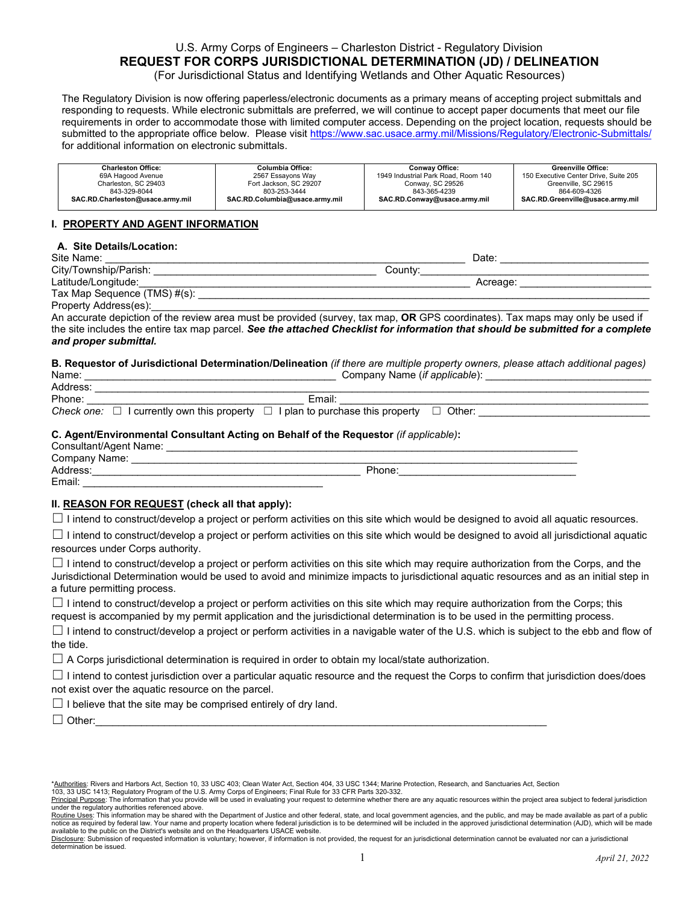# U.S. Army Corps of Engineers – Charleston District - Regulatory Division **REQUEST FOR CORPS JURISDICTIONAL DETERMINATION (JD) / DELINEATION**

(For Jurisdictional Status and Identifying Wetlands and Other Aquatic Resources)

The Regulatory Division is now offering paperless/electronic documents as a primary means of accepting project submittals and responding to requests. While electronic submittals are preferred, we will continue to accept paper documents that meet our file requirements in order to accommodate those with limited computer access. Depending on the project location, requests should be submitted to the appropriate office below. Please visit<https://www.sac.usace.army.mil/Missions/Regulatory/Electronic-Submittals/> for additional information on electronic submittals.

| <b>Charleston Office:</b>        | Columbia Office:               | Conwav Office:                      | <b>Greenville Office:</b>             |
|----------------------------------|--------------------------------|-------------------------------------|---------------------------------------|
| 69A Hagood Avenue                | 2567 Essavons Wav              | 1949 Industrial Park Road, Room 140 | 150 Executive Center Drive, Suite 205 |
| Charleston, SC 29403             | Fort Jackson, SC 29207         | Conway, SC 29526                    | Greenville, SC 29615                  |
| 843-329-8044                     | 803-253-3444                   | 843-365-4239                        | 864-609-4326                          |
| SAC.RD.Charleston@usace.army.mil | SAC.RD.Columbia@usace.army.mil | SAC.RD.Conway@usace.army.mil        | SAC.RD.Greenville@usace.army.mil      |

# **I. PROPERTY AND AGENT INFORMATION**

# **A. Site Details/Location:**

| Site Name:                   | Date     |
|------------------------------|----------|
| City/Township/Parish:        | County:  |
| Latitude/Longitude:          | Acreage: |
| Tax Map Sequence (TMS) #(s): |          |
| Property Address(es):        |          |

An accurate depiction of the review area must be provided (survey, tax map, **OR** GPS coordinates). Tax maps may only be used if the site includes the entire tax map parcel. *See the attached Checklist for information that should be submitted for a complete and proper submittal.*

#### **B. Requestor of Jurisdictional Determination/Delineation** *(if there are multiple property owners, please attach additional pages)* Company Name (*if applicable*):

| Address: |                                                                                                              |  |
|----------|--------------------------------------------------------------------------------------------------------------|--|
| Phone:   | Email:                                                                                                       |  |
|          | <i>Check one:</i> $\Box$ I currently own this property $\Box$ I plan to purchase this property $\Box$ Other: |  |

# **C. Agent/Environmental Consultant Acting on Behalf of the Requestor** *(if applicable)***:**

| Consultant/Agent Name: |        |
|------------------------|--------|
| Company Name:          |        |
| Address:               | Phone: |
| Email:                 |        |

# **II. REASON FOR REQUEST (check all that apply):**

 $\Box$  I intend to construct/develop a project or perform activities on this site which would be designed to avoid all aquatic resources.

 $\Box$  I intend to construct/develop a project or perform activities on this site which would be designed to avoid all jurisdictional aquatic resources under Corps authority.

 $\Box$  I intend to construct/develop a project or perform activities on this site which may require authorization from the Corps, and the Jurisdictional Determination would be used to avoid and minimize impacts to jurisdictional aquatic resources and as an initial step in a future permitting process.

 $\Box$  I intend to construct/develop a project or perform activities on this site which may require authorization from the Corps; this request is accompanied by my permit application and the jurisdictional determination is to be used in the permitting process.

 $\Box$  I intend to construct/develop a project or perform activities in a navigable water of the U.S. which is subject to the ebb and flow of the tide.

 $\Box$  A Corps jurisdictional determination is required in order to obtain my local/state authorization.

 $\Box$  I intend to contest jurisdiction over a particular aquatic resource and the request the Corps to confirm that jurisdiction does/does not exist over the aquatic resource on the parcel.

 $\Box$  I believe that the site may be comprised entirely of dry land.

☐ Other:\_\_\_\_\_\_\_\_\_\_\_\_\_\_\_\_\_\_\_\_\_\_\_\_\_\_\_\_\_\_\_\_\_\_\_\_\_\_\_\_\_\_\_\_\_\_\_\_\_\_\_\_\_\_\_\_\_\_\_\_\_\_\_\_\_\_\_\_\_\_\_\_\_\_\_\_\_\_\_

<sup>\*</sup>Authorities: Rivers and Harbors Act, Section 10, 33 USC 403; Clean Water Act, Section 404, 33 USC 1344; Marine Protection, Research, and Sanctuaries Act, Section

<sup>103, 33</sup> USC 1413; Regulatory Program of the U.S. Army Corps of Engineers; Final Rule for 33 CFR Parts 320-332.<br><u>Principal Purpose</u>: The information that you provide will be used in evaluating your request to determine whet under the regulatory authorities referenced above.

Routine Uses: This information may be shared with the Department of Justice and other federal, state, and local government agencies, and the public, and may be made available as part of a public notice as required by federal law. Your name and property location where federal jurisdiction is to be determined will be included in the approved jurisdictional determination (AJD), which will be made available to the public on the District's website and on the Headquarters USACE website.

Disclosure: Submission of requested information is voluntary; however, if information is not provided, the request for an jurisdictional determination cannot be evaluated nor can a jurisdictional<br>determination be issued. determination be issued. 1 *April 21, <sup>2022</sup>*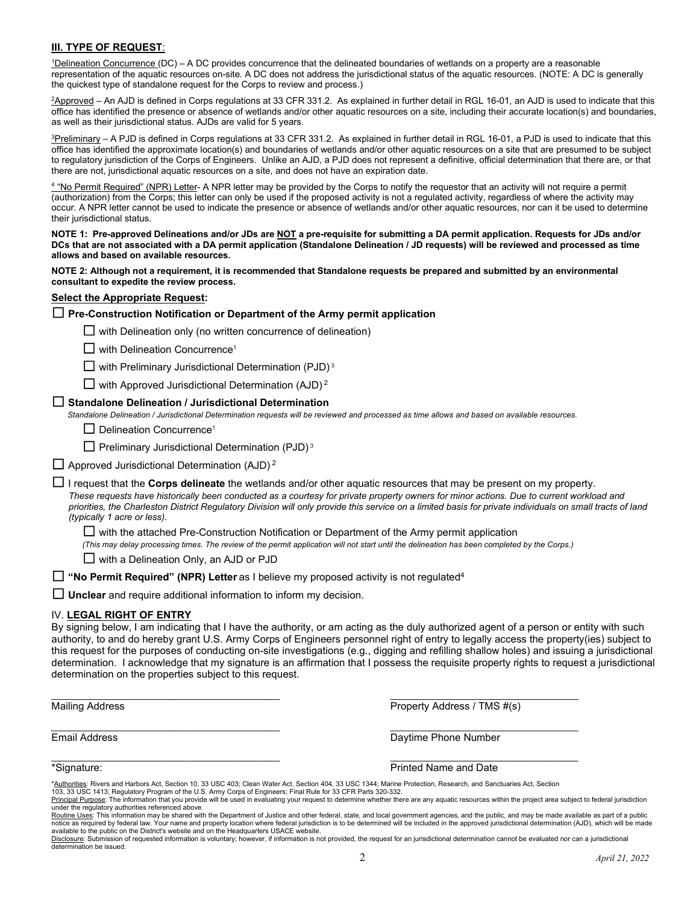# **III. TYPE OF REQUEST**:

<sup>1</sup>Delineation Concurrence (DC) - A DC provides concurrence that the delineated boundaries of wetlands on a property are a reasonable representation of the aquatic resources on-site. A DC does not address the jurisdictional status of the aquatic resources. (NOTE: A DC is generally the quickest type of standalone request for the Corps to review and process.)

2 Approved – An AJD is defined in Corps regulations at 33 CFR 331.2. As explained in further detail in RGL 16-01, an AJD is used to indicate that this office has identified the presence or absence of wetlands and/or other aquatic resources on a site, including their accurate location(s) and boundaries, as well as their jurisdictional status. AJDs are valid for 5 years.

 $^3$ Preliminary – A PJD is defined in Corps regulations at 33 CFR 331.2. As explained in further detail in RGL 16-01, a PJD is used to indicate that this office has identified the approximate location(s) and boundaries of wetlands and/or other aquatic resources on a site that are presumed to be subject to regulatory jurisdiction of the Corps of Engineers. Unlike an AJD, a PJD does not represent a definitive, official determination that there are, or that there are not, jurisdictional aquatic resources on a site, and does not have an expiration date.

<sup>4</sup> "No Permit Required" (NPR) Letter- A NPR letter may be provided by the Corps to notify the requestor that an activity will not require a permit (authorization) from the Corps; this letter can only be used if the proposed activity is not a regulated activity, regardless of where the activity may occur. A NPR letter cannot be used to indicate the presence or absence of wetlands and/or other aquatic resources, nor can it be used to determine their jurisdictional status.

**NOTE 1: Pre-approved Delineations and/or JDs are NOT a pre-requisite for submitting a DA permit application. Requests for JDs and/or DCs that are not associated with a DA permit application (Standalone Delineation / JD requests) will be reviewed and processed as time allows and based on available resources.** 

**NOTE 2: Although not a requirement, it is recommended that Standalone requests be prepared and submitted by an environmental consultant to expedite the review process.** 

# **Select the Appropriate Request:**

# ☐ **Pre-Construction Notification or Department of the Army permit application**

 $\Box$  with Delineation only (no written concurrence of delineation)

 $\Box$  with Delineation Concurrence<sup>1</sup>

☐ with Preliminary Jurisdictional Determination (PJD) 3

 $\Box$  with Approved Jurisdictional Determination (AJD)<sup>2</sup>

### ☐ **Standalone Delineation / Jurisdictional Determination**

*Standalone Delineation / Jurisdictional Determination requests will be reviewed and processed as time allows and based on available resources.*

 $\Box$  Delineation Concurrence<sup>1</sup>

 $\Box$  Preliminary Jurisdictional Determination (PJD)<sup>3</sup>

 $\Box$  Approved Jurisdictional Determination (AJD)<sup>2</sup>

☐ I request that the **Corps delineate** the wetlands and/or other aquatic resources that may be present on my property.

*These requests have historically been conducted as a courtesy for private property owners for minor actions. Due to current workload and priorities, the Charleston District Regulatory Division will only provide this service on a limited basis for private individuals on small tracts of land (typically 1 acre or less).* 

 $\Box$  with the attached Pre-Construction Notification or Department of the Army permit application

*(This may delay processing times. The review of the permit application will not start until the delineation has been completed by the Corps.)*

 $\Box$  with a Delineation Only, an AJD or PJD

☐ **"No Permit Required" (NPR) Letter** as I believe my proposed activity is not regulated4

□ **Unclear** and require additional information to inform my decision.

#### IV. **LEGAL RIGHT OF ENTRY**

By signing below, I am indicating that I have the authority, or am acting as the duly authorized agent of a person or entity with such authority, to and do hereby grant U.S. Army Corps of Engineers personnel right of entry to legally access the property(ies) subject to this request for the purposes of conducting on-site investigations (e.g., digging and refilling shallow holes) and issuing a jurisdictional determination. I acknowledge that my signature is an affirmation that I possess the requisite property rights to request a jurisdictional determination on the properties subject to this request.

Mailing Address Property Address / TMS #(s)

\_\_\_\_\_\_\_\_\_\_\_\_\_\_\_\_\_\_\_\_\_\_\_\_\_\_\_\_\_\_\_\_\_\_\_\_\_\_\_\_\_\_\_\_\_ \_\_\_\_\_\_\_\_\_\_\_\_\_\_\_\_\_\_\_\_\_\_\_\_\_\_\_\_\_\_\_\_\_\_\_\_\_ **Email Address Contract Contract Contract Contract Contract Contract Contract Contract Contract Contract Contract Contract Contract Contract Contract Contract Contract Contract Contract Contract Contract Contract Contract** 

\_\_\_\_\_\_\_\_\_\_\_\_\_\_\_\_\_\_\_\_\_\_\_\_\_\_\_\_\_\_\_\_\_\_\_\_\_\_\_\_\_\_\_\_\_ \_\_\_\_\_\_\_\_\_\_\_\_\_\_\_\_\_\_\_\_\_\_\_\_\_\_\_\_\_\_\_\_\_\_\_\_\_ \*Signature: Printed Name and Date

\_\_\_\_\_\_\_\_\_\_\_\_\_\_\_\_\_\_\_\_\_\_\_\_\_\_\_\_\_\_\_\_\_\_\_\_\_\_\_\_\_\_\_\_\_ \_\_\_\_\_\_\_\_\_\_\_\_\_\_\_\_\_\_\_\_\_\_\_\_\_\_\_\_\_\_\_\_\_\_\_\_\_

<sup>\*</sup>Authorities: Rivers and Harbors Act, Section 10, 33 USC 403; Clean Water Act, Section 404, 33 USC 1344; Marine Protection, Research, and Sanctuaries Act, Section

<sup>103, 33</sup> USC 1413; Regulatory Program of the U.S. Army Corps of Engineers; Final Rule for 33 CFR Parts 320-332.<br><u>Principal Purpose</u>: The information that you provide will be used in evaluating your request to determine whet

under the regulatory authorities referenced above.<br><u>Routine Uses</u>: This information may be shared with the Department of Justice and other federal, state, and local government agencies, and the public, and may be made avai

notice as required by federal law. Your name and property location where federal jurisdiction is to be determined will be included in the approved jurisdictional determination (AJD), which will be made available to the public on the District's website and on the Headquarters USACE website.

Disclosure: Submission of requested information is voluntary; however, if information is not provided, the request for an jurisdictional determination cannot be evaluated nor can a jurisdictional<br>determination be issued. determination be issued. 2 *April 21, <sup>2022</sup>*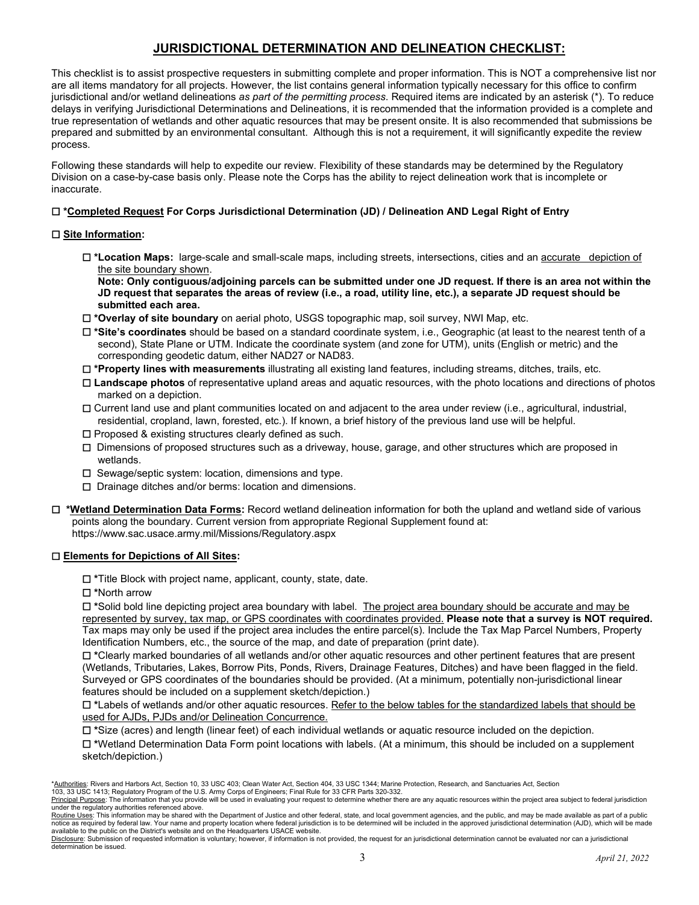# **JURISDICTIONAL DETERMINATION AND DELINEATION CHECKLIST:**

This checklist is to assist prospective requesters in submitting complete and proper information. This is NOT a comprehensive list nor are all items mandatory for all projects. However, the list contains general information typically necessary for this office to confirm jurisdictional and/or wetland delineations *as part of the permitting process*. Required items are indicated by an asterisk (\*). To reduce delays in verifying Jurisdictional Determinations and Delineations, it is recommended that the information provided is a complete and true representation of wetlands and other aquatic resources that may be present onsite. It is also recommended that submissions be prepared and submitted by an environmental consultant. Although this is not a requirement, it will significantly expedite the review process.

Following these standards will help to expedite our review. Flexibility of these standards may be determined by the Regulatory Division on a case-by-case basis only. Please note the Corps has the ability to reject delineation work that is incomplete or inaccurate.

# ☐ **\*Completed Request For Corps Jurisdictional Determination (JD) / Delineation AND Legal Right of Entry**

# ☐ **Site Information:**

☐ **\*Location Maps:** large-scale and small-scale maps, including streets, intersections, cities and an accurate depiction of the site boundary shown.

**Note: Only contiguous/adjoining parcels can be submitted under one JD request. If there is an area not within the JD request that separates the areas of review (i.e., a road, utility line, etc.), a separate JD request should be submitted each area.** 

- ☐ **\*Overlay of site boundary** on aerial photo, USGS topographic map, soil survey, NWI Map, etc.
- ☐ **\*Site's coordinates** should be based on a standard coordinate system, i.e., Geographic (at least to the nearest tenth of a second), State Plane or UTM. Indicate the coordinate system (and zone for UTM), units (English or metric) and the corresponding geodetic datum, either NAD27 or NAD83.
- ☐ **\*Property lines with measurements** illustrating all existing land features, including streams, ditches, trails, etc.
- ☐ **Landscape photos** of representative upland areas and aquatic resources, with the photo locations and directions of photos marked on a depiction.
- ☐ Current land use and plant communities located on and adjacent to the area under review (i.e., agricultural, industrial, residential, cropland, lawn, forested, etc.). If known, a brief history of the previous land use will be helpful.
- ☐ Proposed & existing structures clearly defined as such.
- ☐ Dimensions of proposed structures such as a driveway, house, garage, and other structures which are proposed in wetlands.
- ☐ Sewage/septic system: location, dimensions and type.
- ☐ Drainage ditches and/or berms: location and dimensions.
- ☐ **\*Wetland Determination Data Forms:** Record wetland delineation information for both the upland and wetland side of various points along the boundary. Current version from appropriate Regional Supplement found at: https://www.sac.usace.army.mil/Missions/Regulatory.aspx

# ☐ **Elements for Depictions of All Sites:**

☐ **\***Title Block with project name, applicant, county, state, date.

☐ **\***North arrow

☐ **\***Solid bold line depicting project area boundary with label. The project area boundary should be accurate and may be represented by survey, tax map, or GPS coordinates with coordinates provided. **Please note that a survey is NOT required.**  Tax maps may only be used if the project area includes the entire parcel(s). Include the Tax Map Parcel Numbers, Property Identification Numbers, etc., the source of the map, and date of preparation (print date).

☐ **\***Clearly marked boundaries of all wetlands and/or other aquatic resources and other pertinent features that are present (Wetlands, Tributaries, Lakes, Borrow Pits, Ponds, Rivers, Drainage Features, Ditches) and have been flagged in the field. Surveyed or GPS coordinates of the boundaries should be provided. (At a minimum, potentially non-jurisdictional linear features should be included on a supplement sketch/depiction.)

☐ **\***Labels of wetlands and/or other aquatic resources. Refer to the below tables for the standardized labels that should be used for AJDs, PJDs and/or Delineation Concurrence.

☐ **\***Size (acres) and length (linear feet) of each individual wetlands or aquatic resource included on the depiction.

☐ **\***Wetland Determination Data Form point locations with labels. (At a minimum, this should be included on a supplement sketch/depiction.)

<sup>\*</sup>Authorities: Rivers and Harbors Act, Section 10, 33 USC 403; Clean Water Act, Section 404, 33 USC 1344; Marine Protection, Research, and Sanctuaries Act, Section

<sup>103, 33</sup> USC 1413; Regulatory Program of the U.S. Army Corps of Engineers; Final Rule for 33 CFR Parts 320-332.<br><u>Principal Purpose</u>: The information that you provide will be used in evaluating your request to determine whet under the regulatory authorities referenced above.

Routine Uses: This information may be shared with the Department of Justice and other federal, state, and local government agencies, and the public, and may be made available as part of a public notice as required by federal law. Your name and property location where federal jurisdiction is to be determined will be included in the approved jurisdictional determination (AJD), which will be made available to the public on the District's website and on the Headquarters USACE website.

Disclosure: Submission of requested information is voluntary; however, if information is not provided, the request for an jurisdictional determination cannot be evaluated nor can a jurisdictional<br>determination be issued. determination be issued. 3 *April 21, <sup>2022</sup>*